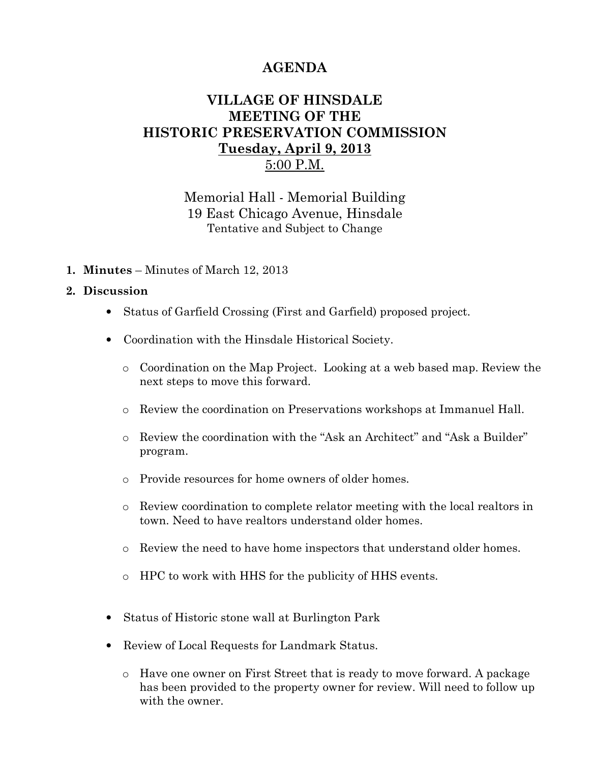## AGENDA

## VILLAGE OF HINSDALE MEETING OF THE HISTORIC PRESERVATION COMMISSION Tuesday, April 9, 2013 5:00 P.M.

Memorial Hall - Memorial Building 19 East Chicago Avenue, Hinsdale Tentative and Subject to Change

1. Minutes – Minutes of March 12, 2013

## 2. Discussion

- Status of Garfield Crossing (First and Garfield) proposed project.
- Coordination with the Hinsdale Historical Society.
	- o Coordination on the Map Project. Looking at a web based map. Review the next steps to move this forward.
	- o Review the coordination on Preservations workshops at Immanuel Hall.
	- o Review the coordination with the "Ask an Architect" and "Ask a Builder" program.
	- o Provide resources for home owners of older homes.
	- o Review coordination to complete relator meeting with the local realtors in town. Need to have realtors understand older homes.
	- o Review the need to have home inspectors that understand older homes.
	- o HPC to work with HHS for the publicity of HHS events.
- Status of Historic stone wall at Burlington Park
- Review of Local Requests for Landmark Status.
	- o Have one owner on First Street that is ready to move forward. A package has been provided to the property owner for review. Will need to follow up with the owner.